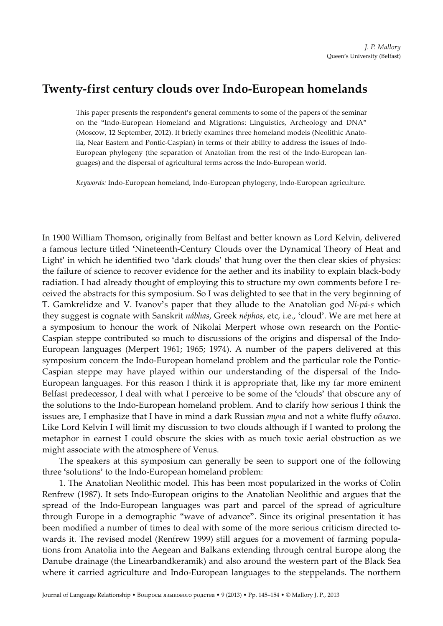# Twenty-first century clouds over Indo-European homelands

This paper presents the respondent's general comments to some of the papers of the seminar on the "Indo-European Homeland and Migrations: Linguistics, Archeology and DNA" (Moscow, 12 September, 2012). It briefly examines three homeland models (Neolithic Anatolia, Near Eastern and Pontic-Caspian) in terms of their ability to address the issues of Indo-European phylogeny (the separation of Anatolian from the rest of the Indo-European languages) and the dispersal of agricultural terms across the Indo-European world.

Keywords: Indo-European homeland, Indo-European phylogeny, Indo-European agriculture.

In 1900 William Thomson, originally from Belfast and better known as Lord Kelvin, delivered a famous lecture titled 'Nineteenth-Century Clouds over the Dynamical Theory of Heat and Light' in which he identified two 'dark clouds' that hung over the then clear skies of physics: the failure of science to recover evidence for the aether and its inability to explain black-body radiation. I had already thought of employing this to structure my own comments before I received the abstracts for this symposium. So I was delighted to see that in the very beginning of T. Gamkrelidze and V. Ivanov's paper that they allude to the Anatolian god Ni-pá-s which they suggest is cognate with Sanskrit nábhas, Greek néphos, etc, i.e., 'cloud'. We are met here at a symposium to honour the work of Nikolai Merpert whose own research on the Pontic-Caspian steppe contributed so much to discussions of the origins and dispersal of the Indo-European languages (Merpert 1961; 1965; 1974). A number of the papers delivered at this symposium concern the Indo-European homeland problem and the particular role the Pontic-Caspian steppe may have played within our understanding of the dispersal of the Indo-European languages. For this reason I think it is appropriate that, like my far more eminent Belfast predecessor, I deal with what I perceive to be some of the 'clouds' that obscure any of the solutions to the Indo-European homeland problem. And to clarify how serious I think the issues are, I emphasize that I have in mind a dark Russian *туча* and not a white fluffy *облако*. Like Lord Kelvin I will limit my discussion to two clouds although if I wanted to prolong the metaphor in earnest I could obscure the skies with as much toxic aerial obstruction as we might associate with the atmosphere of Venus.

The speakers at this symposium can generally be seen to support one of the following three 'solutions' to the Indo-European homeland problem:

1. The Anatolian Neolithic model. This has been most popularized in the works of Colin Renfrew (1987). It sets Indo-European origins to the Anatolian Neolithic and argues that the spread of the Indo-European languages was part and parcel of the spread of agriculture through Europe in a demographic "wave of advance". Since its original presentation it has been modified a number of times to deal with some of the more serious criticism directed towards it. The revised model (Renfrew 1999) still argues for a movement of farming populations from Anatolia into the Aegean and Balkans extending through central Europe along the Danube drainage (the Linearbandkeramik) and also around the western part of the Black Sea where it carried agriculture and Indo-European languages to the steppelands. The northern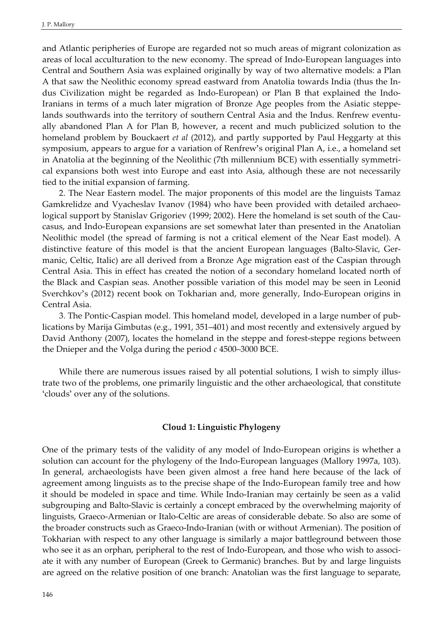and Atlantic peripheries of Europe are regarded not so much areas of migrant colonization as areas of local acculturation to the new economy. The spread of Indo-European languages into Central and Southern Asia was explained originally by way of two alternative models: a Plan A that saw the Neolithic economy spread eastward from Anatolia towards India (thus the Indus Civilization might be regarded as Indo-European) or Plan B that explained the Indo-Iranians in terms of a much later migration of Bronze Age peoples from the Asiatic steppelands southwards into the territory of southern Central Asia and the Indus. Renfrew eventually abandoned Plan A for Plan B, however, a recent and much publicized solution to the homeland problem by Bouckaert *et al* (2012), and partly supported by Paul Heggarty at this symposium, appears to argue for a variation of Renfrew's original Plan A, i.e., a homeland set in Anatolia at the beginning of the Neolithic (7th millennium BCE) with essentially symmetrical expansions both west into Europe and east into Asia, although these are not necessarily tied to the initial expansion of farming.

2. The Near Eastern model. The major proponents of this model are the linguists Tamaz Gamkrelidze and Vyacheslav Ivanov (1984) who have been provided with detailed archaeological support by Stanislav Grigoriev (1999; 2002). Here the homeland is set south of the Caucasus, and Indo-European expansions are set somewhat later than presented in the Anatolian Neolithic model (the spread of farming is not a critical element of the Near East model). A distinctive feature of this model is that the ancient European languages (Balto-Slavic, Germanic, Celtic, Italic) are all derived from a Bronze Age migration east of the Caspian through Central Asia. This in effect has created the notion of a secondary homeland located north of the Black and Caspian seas. Another possible variation of this model may be seen in Leonid Sverchkov's (2012) recent book on Tokharian and, more generally, Indo-European origins in Central Asia.

3. The Pontic-Caspian model. This homeland model, developed in a large number of publications by Marija Gimbutas (e.g., 1991, 351–401) and most recently and extensively argued by David Anthony (2007), locates the homeland in the steppe and forest-steppe regions between the Dnieper and the Volga during the period  $c$  4500–3000 BCE.

While there are numerous issues raised by all potential solutions, I wish to simply illustrate two of the problems, one primarily linguistic and the other archaeological, that constitute 'clouds' over any of the solutions.

#### Cloud 1: Linguistic Phylogeny

One of the primary tests of the validity of any model of Indo-European origins is whether a solution can account for the phylogeny of the Indo-European languages (Mallory 1997a, 103). In general, archaeologists have been given almost a free hand here because of the lack of agreement among linguists as to the precise shape of the Indo-European family tree and how it should be modeled in space and time. While Indo-Iranian may certainly be seen as a valid subgrouping and Balto-Slavic is certainly a concept embraced by the overwhelming majority of linguists, Graeco-Armenian or Italo-Celtic are areas of considerable debate. So also are some of the broader constructs such as Graeco-Indo-Iranian (with or without Armenian). The position of Tokharian with respect to any other language is similarly a major battleground between those who see it as an orphan, peripheral to the rest of Indo-European, and those who wish to associate it with any number of European (Greek to Germanic) branches. But by and large linguists are agreed on the relative position of one branch: Anatolian was the first language to separate,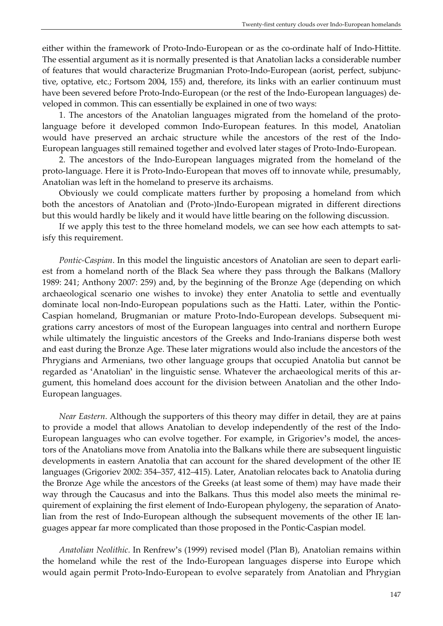either within the framework of Proto-Indo-European or as the co-ordinate half of Indo-Hittite. The essential argument as it is normally presented is that Anatolian lacks a considerable number of features that would characterize Brugmanian Proto-Indo-European (aorist, perfect, subjunctive, optative, etc.; Fortsom 2004, 155) and, therefore, its links with an earlier continuum must have been severed before Proto-Indo-European (or the rest of the Indo-European languages) developed in common. This can essentially be explained in one of two ways:

1. The ancestors of the Anatolian languages migrated from the homeland of the protolanguage before it developed common Indo-European features. In this model, Anatolian would have preserved an archaic structure while the ancestors of the rest of the Indo-European languages still remained together and evolved later stages of Proto-Indo-European.

2. The ancestors of the Indo-European languages migrated from the homeland of the proto-language. Here it is Proto-Indo-European that moves off to innovate while, presumably, Anatolian was left in the homeland to preserve its archaisms.

Obviously we could complicate matters further by proposing a homeland from which both the ancestors of Anatolian and (Proto-)Indo-European migrated in different directions but this would hardly be likely and it would have little bearing on the following discussion.

If we apply this test to the three homeland models, we can see how each attempts to satisfy this requirement.

Pontic-Caspian. In this model the linguistic ancestors of Anatolian are seen to depart earliest from a homeland north of the Black Sea where they pass through the Balkans (Mallory 1989: 241; Anthony 2007: 259) and, by the beginning of the Bronze Age (depending on which archaeological scenario one wishes to invoke) they enter Anatolia to settle and eventually dominate local non-Indo-European populations such as the Hatti. Later, within the Pontic-Caspian homeland, Brugmanian or mature Proto-Indo-European develops. Subsequent migrations carry ancestors of most of the European languages into central and northern Europe while ultimately the linguistic ancestors of the Greeks and Indo-Iranians disperse both west and east during the Bronze Age. These later migrations would also include the ancestors of the Phrygians and Armenians, two other language groups that occupied Anatolia but cannot be regarded as 'Anatolian' in the linguistic sense. Whatever the archaeological merits of this argument, this homeland does account for the division between Anatolian and the other Indo-European languages.

Near Eastern. Although the supporters of this theory may differ in detail, they are at pains to provide a model that allows Anatolian to develop independently of the rest of the Indo-European languages who can evolve together. For example, in Grigoriev's model, the ancestors of the Anatolians move from Anatolia into the Balkans while there are subsequent linguistic developments in eastern Anatolia that can account for the shared development of the other IE languages (Grigoriev 2002: 354–357, 412–415). Later, Anatolian relocates back to Anatolia during the Bronze Age while the ancestors of the Greeks (at least some of them) may have made their way through the Caucasus and into the Balkans. Thus this model also meets the minimal requirement of explaining the first element of Indo-European phylogeny, the separation of Anatolian from the rest of Indo-European although the subsequent movements of the other IE languages appear far more complicated than those proposed in the Pontic-Caspian model.

Anatolian Neolithic. In Renfrew's (1999) revised model (Plan B), Anatolian remains within the homeland while the rest of the Indo-European languages disperse into Europe which would again permit Proto-Indo-European to evolve separately from Anatolian and Phrygian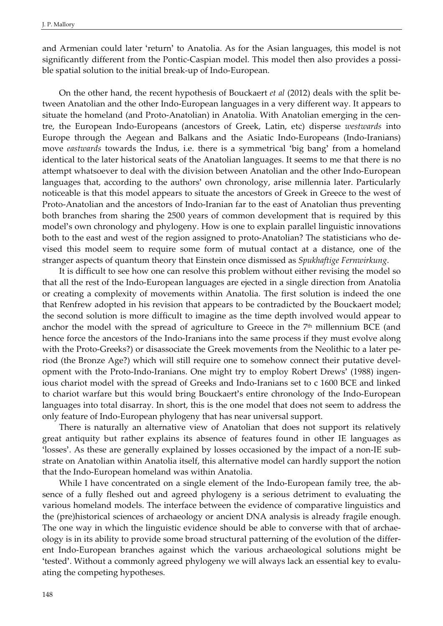and Armenian could later 'return' to Anatolia. As for the Asian languages, this model is not significantly different from the Pontic-Caspian model. This model then also provides a possible spatial solution to the initial break-up of Indo-European.

On the other hand, the recent hypothesis of Bouckaert et al (2012) deals with the split between Anatolian and the other Indo-European languages in a very different way. It appears to situate the homeland (and Proto-Anatolian) in Anatolia. With Anatolian emerging in the centre, the European Indo-Europeans (ancestors of Greek, Latin, etc) disperse westwards into Europe through the Aegean and Balkans and the Asiatic Indo-Europeans (Indo-Iranians) move *eastwards* towards the Indus, i.e. there is a symmetrical 'big bang' from a homeland identical to the later historical seats of the Anatolian languages. It seems to me that there is no attempt whatsoever to deal with the division between Anatolian and the other Indo-European languages that, according to the authors' own chronology, arise millennia later. Particularly noticeable is that this model appears to situate the ancestors of Greek in Greece to the west of Proto-Anatolian and the ancestors of Indo-Iranian far to the east of Anatolian thus preventing both branches from sharing the 2500 years of common development that is required by this model's own chronology and phylogeny. How is one to explain parallel linguistic innovations both to the east and west of the region assigned to proto-Anatolian? The statisticians who devised this model seem to require some form of mutual contact at a distance, one of the stranger aspects of quantum theory that Einstein once dismissed as Spukhaftige Fernwirkung.

It is difficult to see how one can resolve this problem without either revising the model so that all the rest of the Indo-European languages are ejected in a single direction from Anatolia or creating a complexity of movements within Anatolia. The first solution is indeed the one that Renfrew adopted in his revision that appears to be contradicted by the Bouckaert model; the second solution is more difficult to imagine as the time depth involved would appear to anchor the model with the spread of agriculture to Greece in the  $7<sup>th</sup>$  millennium BCE (and hence force the ancestors of the Indo-Iranians into the same process if they must evolve along with the Proto-Greeks?) or disassociate the Greek movements from the Neolithic to a later period (the Bronze Age?) which will still require one to somehow connect their putative development with the Proto-Indo-Iranians. One might try to employ Robert Drews' (1988) ingenious chariot model with the spread of Greeks and Indo-Iranians set to c 1600 BCE and linked to chariot warfare but this would bring Bouckaert's entire chronology of the Indo-European languages into total disarray. In short, this is the one model that does not seem to address the only feature of Indo-European phylogeny that has near universal support.

There is naturally an alternative view of Anatolian that does not support its relatively great antiquity but rather explains its absence of features found in other IE languages as 'losses'. As these are generally explained by losses occasioned by the impact of a non-IE substrate on Anatolian within Anatolia itself, this alternative model can hardly support the notion that the Indo-European homeland was within Anatolia.

While I have concentrated on a single element of the Indo-European family tree, the absence of a fully fleshed out and agreed phylogeny is a serious detriment to evaluating the various homeland models. The interface between the evidence of comparative linguistics and the (pre)historical sciences of archaeology or ancient DNA analysis is already fragile enough. The one way in which the linguistic evidence should be able to converse with that of archaeology is in its ability to provide some broad structural patterning of the evolution of the different Indo-European branches against which the various archaeological solutions might be 'tested'. Without a commonly agreed phylogeny we will always lack an essential key to evaluating the competing hypotheses.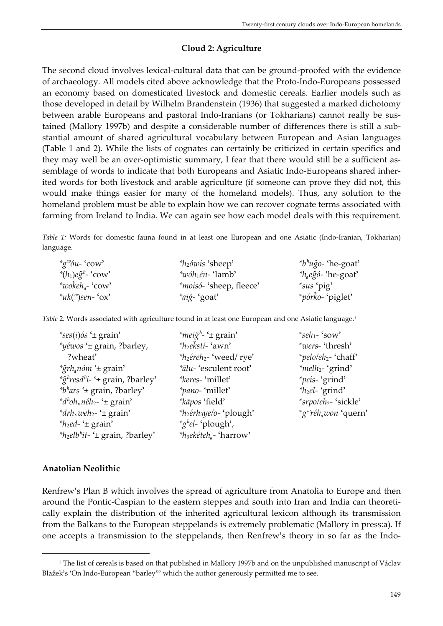### Cloud 2: Agriculture

The second cloud involves lexical-cultural data that can be ground-proofed with the evidence of archaeology. All models cited above acknowledge that the Proto-Indo-Europeans possessed an economy based on domesticated livestock and domestic cereals. Earlier models such as those developed in detail by Wilhelm Brandenstein (1936) that suggested a marked dichotomy between arable Europeans and pastoral Indo-Iranians (or Tokharians) cannot really be sustained (Mallory 1997b) and despite a considerable number of differences there is still a substantial amount of shared agricultural vocabulary between European and Asian languages (Table 1 and 2). While the lists of cognates can certainly be criticized in certain specifics and they may well be an over-optimistic summary, I fear that there would still be a sufficient assemblage of words to indicate that both Europeans and Asiatic Indo-Europeans shared inherited words for both livestock and arable agriculture (if someone can prove they did not, this would make things easier for many of the homeland models). Thus, any solution to the homeland problem must be able to explain how we can recover cognate terms associated with farming from Ireland to India. We can again see how each model deals with this requirement.

Table 1: Words for domestic fauna found in at least one European and one Asiatic (Indo-Iranian, Tokharian) language.

| $*_g$ <sup>w</sup> óu- 'cow' | $*h_2$ ówis 'sheep'             | * $bhu\hat{g}o$ - 'he-goat'    |
|------------------------------|---------------------------------|--------------------------------|
| * $(h_1)e\hat{g}^h$ - 'cow'  | $*$ wóh <sub>1</sub> én- 'lamb' | * $h_a e \hat{g}$ ó- 'he-goat' |
| *wokeh <sub>a</sub> - 'cow'  | *moisó- 'sheep, fleece'         | $*_{\text{SUS}}$ 'pig'         |
| $*$ uk(‴)sen- ' $\alpha x$ ' | <i>*aiĝ</i> - 'goat'            | <i>*pórko-</i> 'piglet'        |

Table 2: Words associated with agriculture found in at least one European and one Asiatic language.<sup>1</sup>

| *ses(i) $\acute{o}s$ ' $\pm$ grain'                   | * $mei\hat{g}^h$ - ' $\pm$ grain'               | $*$ seh <sub>1</sub> - 'sow'                    |
|-------------------------------------------------------|-------------------------------------------------|-------------------------------------------------|
| * <i>véwos</i> '± grain, ?barley,                     | *h <sub>2</sub> ekstí- 'awn'                    | <i>*wers-</i> 'thresh'                          |
| ?wheat'                                               | *h <sub>2</sub> éreh <sub>2</sub> - 'weed/rye'  | *pelo/eh2- 'chaff'                              |
| * $\hat{g}rh_{a}n\acute{o}m$ '± grain'                | *ālu- 'esculent root'                           | *melh <sub>2</sub> - 'grind'                    |
| * $\hat{g}^h$ resd <sup>h</sup> i- '± grain, ?barley' | <i>*keres-</i> 'millet'                         | <i>*peis-</i> 'grind'                           |
| * $bhars \pm \text{grain}, ?\text{barley'}$           | <i>*pano-</i> 'millet'                          | $*$ <i>h</i> <sub>2</sub> el-'grind'            |
| * $d^h$ oh <sub>x</sub> néh <sub>2</sub> - '± grain'  | <i>*kāpos</i> 'field'                           | *srpo/eh2- 'sickle'                             |
| * $drh_xweh_2$ - ' $\pm$ grain'                       | *h <sub>2</sub> érh <sub>3</sub> ye/o- 'plough' | <i>*g<sup>w</sup>réh<sub>a</sub>won 'quern'</i> |
| * $h_2ed$ - ' $\pm$ grain'                            | $*_g^hel$ -'plough',                            |                                                 |
| * $h_2elb^h$ it- '± grain, ?barley'                   | $*h_3$ ekéteh <sub>a</sub> - 'harrow'           |                                                 |

### Anatolian Neolithic

Renfrew's Plan B which involves the spread of agriculture from Anatolia to Europe and then around the Pontic-Caspian to the eastern steppes and south into Iran and India can theoretically explain the distribution of the inherited agricultural lexicon although its transmission from the Balkans to the European steppelands is extremely problematic (Mallory in press:a). If one accepts a transmission to the steppelands, then Renfrew's theory in so far as the Indo-

<sup>&</sup>lt;sup>1</sup> The list of cereals is based on that published in Mallory 1997b and on the unpublished manuscript of Václav Blažek's 'On Indo-European "barley"' which the author generously permitted me to see.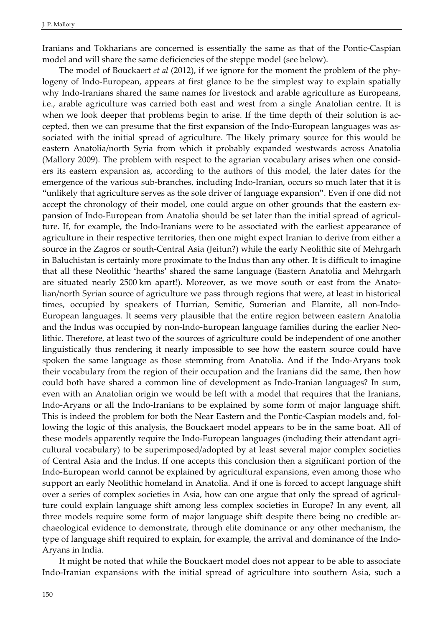Iranians and Tokharians are concerned is essentially the same as that of the Pontic-Caspian model and will share the same deficiencies of the steppe model (see below).

The model of Bouckaert *et al* (2012), if we ignore for the moment the problem of the phylogeny of Indo-European, appears at first glance to be the simplest way to explain spatially why Indo-Iranians shared the same names for livestock and arable agriculture as Europeans, i.e., arable agriculture was carried both east and west from a single Anatolian centre. It is when we look deeper that problems begin to arise. If the time depth of their solution is accepted, then we can presume that the first expansion of the Indo-European languages was associated with the initial spread of agriculture. The likely primary source for this would be eastern Anatolia/north Syria from which it probably expanded westwards across Anatolia (Mallory 2009). The problem with respect to the agrarian vocabulary arises when one considers its eastern expansion as, according to the authors of this model, the later dates for the emergence of the various sub-branches, including Indo-Iranian, occurs so much later that it is "unlikely that agriculture serves as the sole driver of language expansion". Even if one did not accept the chronology of their model, one could argue on other grounds that the eastern expansion of Indo-European from Anatolia should be set later than the initial spread of agriculture. If, for example, the Indo-Iranians were to be associated with the earliest appearance of agriculture in their respective territories, then one might expect Iranian to derive from either a source in the Zagros or south-Central Asia (Jeitun?) while the early Neolithic site of Mehrgarh in Baluchistan is certainly more proximate to the Indus than any other. It is difficult to imagine that all these Neolithic 'hearths' shared the same language (Eastern Anatolia and Mehrgarh are situated nearly 2500 km apart!). Moreover, as we move south or east from the Anatolian/north Syrian source of agriculture we pass through regions that were, at least in historical times, occupied by speakers of Hurrian, Semitic, Sumerian and Elamite, all non-Indo-European languages. It seems very plausible that the entire region between eastern Anatolia and the Indus was occupied by non-Indo-European language families during the earlier Neolithic. Therefore, at least two of the sources of agriculture could be independent of one another linguistically thus rendering it nearly impossible to see how the eastern source could have spoken the same language as those stemming from Anatolia. And if the Indo-Aryans took their vocabulary from the region of their occupation and the Iranians did the same, then how could both have shared a common line of development as Indo-Iranian languages? In sum, even with an Anatolian origin we would be left with a model that requires that the Iranians, Indo-Aryans or all the Indo-Iranians to be explained by some form of major language shift. This is indeed the problem for both the Near Eastern and the Pontic-Caspian models and, following the logic of this analysis, the Bouckaert model appears to be in the same boat. All of these models apparently require the Indo-European languages (including their attendant agricultural vocabulary) to be superimposed/adopted by at least several major complex societies of Central Asia and the Indus. If one accepts this conclusion then a significant portion of the Indo-European world cannot be explained by agricultural expansions, even among those who support an early Neolithic homeland in Anatolia. And if one is forced to accept language shift over a series of complex societies in Asia, how can one argue that only the spread of agriculture could explain language shift among less complex societies in Europe? In any event, all three models require some form of major language shift despite there being no credible archaeological evidence to demonstrate, through elite dominance or any other mechanism, the type of language shift required to explain, for example, the arrival and dominance of the Indo-Aryans in India.

It might be noted that while the Bouckaert model does not appear to be able to associate Indo-Iranian expansions with the initial spread of agriculture into southern Asia, such a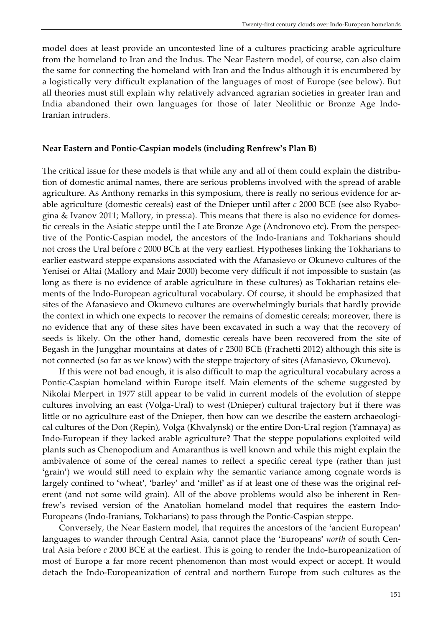model does at least provide an uncontested line of a cultures practicing arable agriculture from the homeland to Iran and the Indus. The Near Eastern model, of course, can also claim the same for connecting the homeland with Iran and the Indus although it is encumbered by a logistically very difficult explanation of the languages of most of Europe (see below). But all theories must still explain why relatively advanced agrarian societies in greater Iran and India abandoned their own languages for those of later Neolithic or Bronze Age Indo-Iranian intruders.

## Near Eastern and Pontic-Caspian models (including Renfrew's Plan B)

The critical issue for these models is that while any and all of them could explain the distribution of domestic animal names, there are serious problems involved with the spread of arable agriculture. As Anthony remarks in this symposium, there is really no serious evidence for arable agriculture (domestic cereals) east of the Dnieper until after c 2000 BCE (see also Ryabogina & Ivanov 2011; Mallory, in press:a). This means that there is also no evidence for domestic cereals in the Asiatic steppe until the Late Bronze Age (Andronovo etc). From the perspective of the Pontic-Caspian model, the ancestors of the Indo-Iranians and Tokharians should not cross the Ural before c 2000 BCE at the very earliest. Hypotheses linking the Tokharians to earlier eastward steppe expansions associated with the Afanasievo or Okunevo cultures of the Yenisei or Altai (Mallory and Mair 2000) become very difficult if not impossible to sustain (as long as there is no evidence of arable agriculture in these cultures) as Tokharian retains elements of the Indo-European agricultural vocabulary. Of course, it should be emphasized that sites of the Afanasievo and Okunevo cultures are overwhelmingly burials that hardly provide the context in which one expects to recover the remains of domestic cereals; moreover, there is no evidence that any of these sites have been excavated in such a way that the recovery of seeds is likely. On the other hand, domestic cereals have been recovered from the site of Begash in the Jungghar mountains at dates of  $c$  2300 BCE (Frachetti 2012) although this site is not connected (so far as we know) with the steppe trajectory of sites (Afanasievo, Okunevo).

If this were not bad enough, it is also difficult to map the agricultural vocabulary across a Pontic-Caspian homeland within Europe itself. Main elements of the scheme suggested by Nikolai Merpert in 1977 still appear to be valid in current models of the evolution of steppe cultures involving an east (Volga-Ural) to west (Dnieper) cultural trajectory but if there was little or no agriculture east of the Dnieper, then how can we describe the eastern archaeological cultures of the Don (Repin), Volga (Khvalynsk) or the entire Don-Ural region (Yamnaya) as Indo-European if they lacked arable agriculture? That the steppe populations exploited wild plants such as Chenopodium and Amaranthus is well known and while this might explain the ambivalence of some of the cereal names to reflect a specific cereal type (rather than just 'grain') we would still need to explain why the semantic variance among cognate words is largely confined to 'wheat', 'barley' and 'millet' as if at least one of these was the original referent (and not some wild grain). All of the above problems would also be inherent in Renfrew's revised version of the Anatolian homeland model that requires the eastern Indo-Europeans (Indo-Iranians, Tokharians) to pass through the Pontic-Caspian steppe.

Conversely, the Near Eastern model, that requires the ancestors of the 'ancient European' languages to wander through Central Asia, cannot place the 'Europeans' north of south Central Asia before  $c$  2000 BCE at the earliest. This is going to render the Indo-Europeanization of most of Europe a far more recent phenomenon than most would expect or accept. It would detach the Indo-Europeanization of central and northern Europe from such cultures as the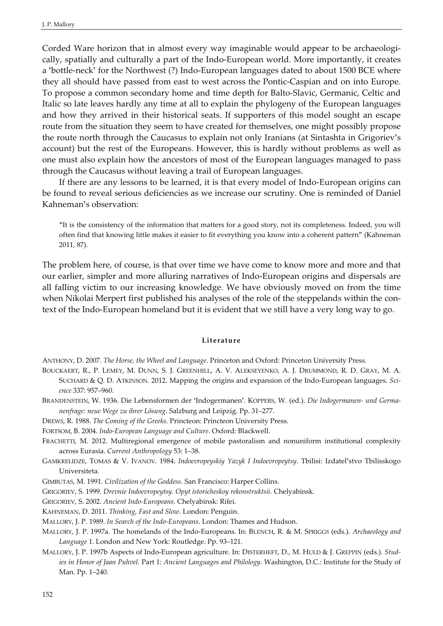Corded Ware horizon that in almost every way imaginable would appear to be archaeologically, spatially and culturally a part of the Indo-European world. More importantly, it creates a 'bottle-neck' for the Northwest (?) Indo-European languages dated to about 1500 BCE where they all should have passed from east to west across the Pontic-Caspian and on into Europe. To propose a common secondary home and time depth for Balto-Slavic, Germanic, Celtic and Italic so late leaves hardly any time at all to explain the phylogeny of the European languages and how they arrived in their historical seats. If supporters of this model sought an escape route from the situation they seem to have created for themselves, one might possibly propose the route north through the Caucasus to explain not only Iranians (at Sintashta in Grigoriev's account) but the rest of the Europeans. However, this is hardly without problems as well as one must also explain how the ancestors of most of the European languages managed to pass through the Caucasus without leaving a trail of European languages.

If there are any lessons to be learned, it is that every model of Indo-European origins can be found to reveal serious deficiencies as we increase our scrutiny. One is reminded of Daniel Kahneman's observation:

"It is the consistency of the information that matters for a good story, not its completeness. Indeed, you will often find that knowing little makes it easier to fit everything you know into a coherent pattern" (Kahneman 2011, 87).

The problem here, of course, is that over time we have come to know more and more and that our earlier, simpler and more alluring narratives of Indo-European origins and dispersals are all falling victim to our increasing knowledge. We have obviously moved on from the time when Nikolai Merpert first published his analyses of the role of the steppelands within the context of the Indo-European homeland but it is evident that we still have a very long way to go.

#### Literature

- BOUCKAERT, R., P. LEMEY, M. DUNN, S. J. GREENHILL, A. V. ALEKSEYENKO, A. J. DRUMMOND, R. D. GRAY, M. A. SUCHARD & Q. D. ATKINSON. 2012. Mapping the origins and expansion of the Indo-European languages. Science 337: 957–960.
- BRANDENSTEIN, W. 1936. Die Lebensformen der 'Indogermanen'. KOPPERS, W. (ed.). Die Indogermanen- und Germanenfrage: neue Wege zu ihrer Lösung. Salzburg and Leipzig. Pp. 31–277.
- DREWS, R. 1988. The Coming of the Greeks. Princteon: Princteon University Press.

FORTSOM, B. 2004. Indo-European Language and Culture. Oxford: Blackwell.

FRACHETTI, M. 2012. Multiregional emergence of mobile pastoralism and nonuniform institutional complexity across Eurasia. Current Anthropology 53: 1–38.

GAMKRELIDZE, TOMAS & V. IVANOV. 1984. Indoevropeyskiy Yazyk I Indoevropeytsy. Tbilisi: Izdatel'stvo Tbilisskogo Universiteta.

- GIMBUTAS, M. 1991. Civilization of the Goddess. San Francisco: Harper Collins.
- GRIGORIEV, S. 1999. Drevnie Indoevropeytsy. Opyt istoricheskoy rekonstruktsii. Chelyabinsk.
- GRIGORIEV, S. 2002. Ancient Indo-Europeans. Chelyabinsk: Rifei.
- KAHNEMAN, D. 2011. Thinking, Fast and Slow. London: Penguin.
- MALLORY, J. P. 1989. In Search of the Indo-Europeans. London: Thames and Hudson.

MALLORY, J. P. 1997a. The homelands of the Indo-Europeans. In: BLENCH, R. & M. SPRIGGS (eds.). Archaeology and Language 1. London and New York: Routledge. Pp. 93–121.

MALLORY, J. P. 1997b Aspects of Indo-European agriculture. In: DISTERHEFT, D., M. HULD & J. GREPPIN (eds.). Studies in Honor of Jaan Puhvel. Part 1: Ancient Languages and Philology. Washington, D.C.: Institute for the Study of Man. Pp. 1–240.

ANTHONY, D. 2007. The Horse, the Wheel and Language. Princeton and Oxford: Princeton University Press.